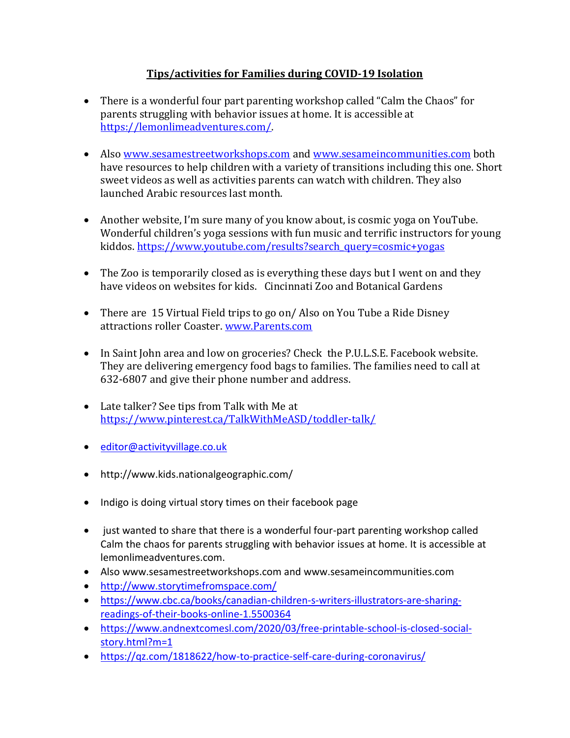# **Tips/activities for Families during COVID-19 Isolation**

- There is a wonderful four part parenting workshop called "Calm the Chaos" for parents struggling with behavior issues at home. It is accessible at [https://lemonlimeadventures.com/.](https://lemonlimeadventures.com/)
- Also [www.sesamestreetworkshops.com](http://www.sesamestreetworkshops.com/) and [www.sesameincommunities.com](http://www.sesameincommunities.com/) both have resources to help children with a variety of transitions including this one. Short sweet videos as well as activities parents can watch with children. They also launched Arabic resources last month.
- Another website, I'm sure many of you know about, is cosmic yoga on YouTube. Wonderful children's yoga sessions with fun music and terrific instructors for young kiddos. [https://www.youtube.com/results?search\\_query=cosmic+yogas](https://www.youtube.com/results?search_query=cosmic+yogas)
- The Zoo is temporarily closed as is everything these days but I went on and they have videos on websites for kids. Cincinnati Zoo and Botanical Gardens
- There are 15 Virtual Field trips to go on/Also on You Tube a Ride Disney attractions roller Coaster. [www.Parents.com](http://www.parents.com/)
- In Saint John area and low on groceries? Check the P.U.L.S.E. Facebook website. They are delivering emergency food bags to families. The families need to call at 632-6807 and give their phone number and address.
- Late talker? See tips from Talk with Me at <https://www.pinterest.ca/TalkWithMeASD/toddler-talk/>
- [editor@activityvillage.co.uk](mailto:editor@activityvillage.co.uk)
- http://www.kids.nationalgeographic.com/
- Indigo is doing virtual story times on their facebook page
- just wanted to share that there is a wonderful four-part parenting workshop called Calm the chaos for parents struggling with behavior issues at home. It is accessible at lemonlimeadventures.com.
- Also www.sesamestreetworkshops.com and www.sesameincommunities.com
- <http://www.storytimefromspace.com/>
- [https://www.cbc.ca/books/canadian-children-s-writers-illustrators-are-sharing](https://www.cbc.ca/books/canadian-children-s-writers-illustrators-are-sharing-readings-of-their-books-online-1.5500364)[readings-of-their-books-online-1.5500364](https://www.cbc.ca/books/canadian-children-s-writers-illustrators-are-sharing-readings-of-their-books-online-1.5500364)
- [https://www.andnextcomesl.com/2020/03/free-printable-school-is-closed-social](https://www.andnextcomesl.com/2020/03/free-printable-school-is-closed-social-story.html?m=1)[story.html?m=1](https://www.andnextcomesl.com/2020/03/free-printable-school-is-closed-social-story.html?m=1)
- <https://qz.com/1818622/how-to-practice-self-care-during-coronavirus/>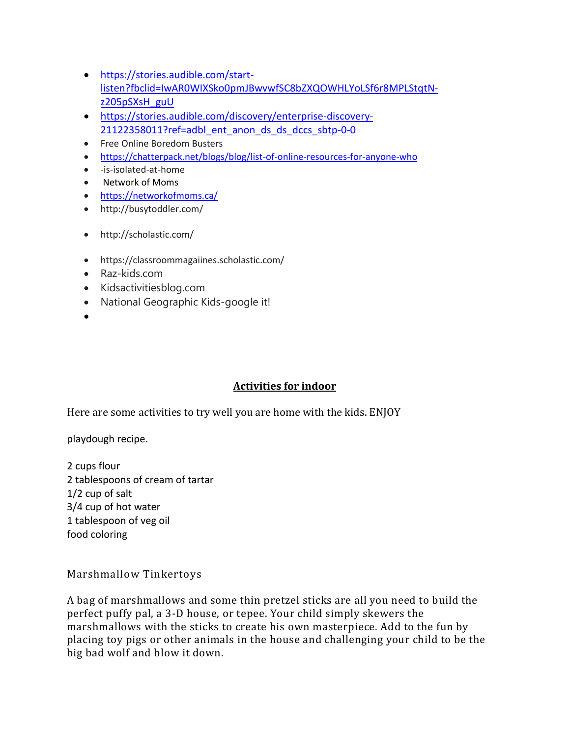- [https://stories.audible.com/start](https://stories.audible.com/start-listen?fbclid=IwAR0WIXSko0pmJBwvwfSC8bZXQOWHLYoLSf6r8MPLStqtN-z205pSXsH_guU)[listen?fbclid=IwAR0WIXSko0pmJBwvwfSC8bZXQOWHLYoLSf6r8MPLStqtN](https://stories.audible.com/start-listen?fbclid=IwAR0WIXSko0pmJBwvwfSC8bZXQOWHLYoLSf6r8MPLStqtN-z205pSXsH_guU)[z205pSXsH\\_guU](https://stories.audible.com/start-listen?fbclid=IwAR0WIXSko0pmJBwvwfSC8bZXQOWHLYoLSf6r8MPLStqtN-z205pSXsH_guU)
- [https://stories.audible.com/discovery/enterprise-discovery-](https://stories.audible.com/discovery/enterprise-discovery-21122358011?ref=adbl_ent_anon_ds_ds_dccs_sbtp-0-0)[21122358011?ref=adbl\\_ent\\_anon\\_ds\\_ds\\_dccs\\_sbtp-0-0](https://stories.audible.com/discovery/enterprise-discovery-21122358011?ref=adbl_ent_anon_ds_ds_dccs_sbtp-0-0)
- Free Online Boredom Busters
- <https://chatterpack.net/blogs/blog/list-of-online-resources-for-anyone-who>
- -is-isolated-at-home
- Network of Moms
- <https://networkofmoms.ca/>
- http://busytoddler.com/
- http://scholastic.com/
- https://classroommagaiines.scholastic.com/
- Raz-kids.com
- Kidsactivitiesblog.com
- National Geographic Kids-google it!
- $\bullet$

#### **Activities for indoor**

Here are some activities to try well you are home with the kids. ENJOY

playdough recipe.

2 cups flour 2 tablespoons of cream of tartar 1/2 cup of salt 3/4 cup of hot water 1 tablespoon of veg oil food coloring

Marshmallow Tinkertoys

A bag of marshmallows and some thin pretzel sticks are all you need to build the perfect puffy pal, a 3-D house, or tepee. Your child simply skewers the marshmallows with the sticks to create his own masterpiece. Add to the fun by placing toy pigs or other animals in the house and challenging your child to be the big bad wolf and blow it down.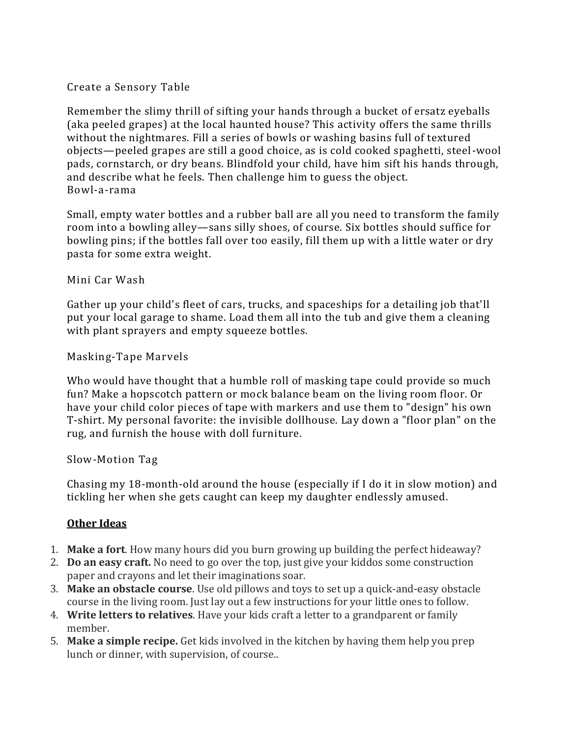## Create a Sensory Table

Remember the slimy thrill of sifting your hands through a bucket of ersatz eyeballs (aka peeled grapes) at the local haunted house? This activity offers the same thrills without the nightmares. Fill a series of bowls or washing basins full of textured objects—peeled grapes are still a good choice, as is cold cooked spaghetti, steel-wool pads, cornstarch, or dry beans. Blindfold your child, have him sift his hands through, and describe what he feels. Then challenge him to guess the object. Bowl-a-rama

Small, empty water bottles and a rubber ball are all you need to transform the family room into a bowling alley—sans silly shoes, of course. Six bottles should suffice for bowling pins; if the bottles fall over too easily, fill them up with a little water or dry pasta for some extra weight.

### Mini Car Wash

Gather up your child's fleet of cars, trucks, and spaceships for a detailing job that'll put your local garage to shame. Load them all into the tub and give them a cleaning with plant sprayers and empty squeeze bottles.

### Masking-Tape Marvels

Who would have thought that a humble roll of masking tape could provide so much fun? Make a hopscotch pattern or mock balance beam on the living room floor. Or have your child color pieces of tape with markers and use them to "design" his own T-shirt. My personal favorite: the invisible dollhouse. Lay down a "floor plan" on the rug, and furnish the house with doll furniture.

#### Slow-Motion Tag

Chasing my 18-month-old around the house (especially if I do it in slow motion) and tickling her when she gets caught can keep my daughter endlessly amused.

## **Other Ideas**

- 1. **Make a fort**. How many hours did you burn growing up building the perfect hideaway?
- 2. **Do an easy craft.** No need to go over the top, just give your kiddos some construction paper and crayons and let their imaginations soar.
- 3. **Make an obstacle course**. Use old pillows and toys to set up a quick-and-easy obstacle course in the living room. Just lay out a few instructions for your little ones to follow.
- 4. **Write letters to relatives**. Have your kids craft a letter to a grandparent or family member.
- 5. **Make a simple recipe.** Get kids involved in the kitchen by having them help you prep lunch or dinner, with supervision, of course..